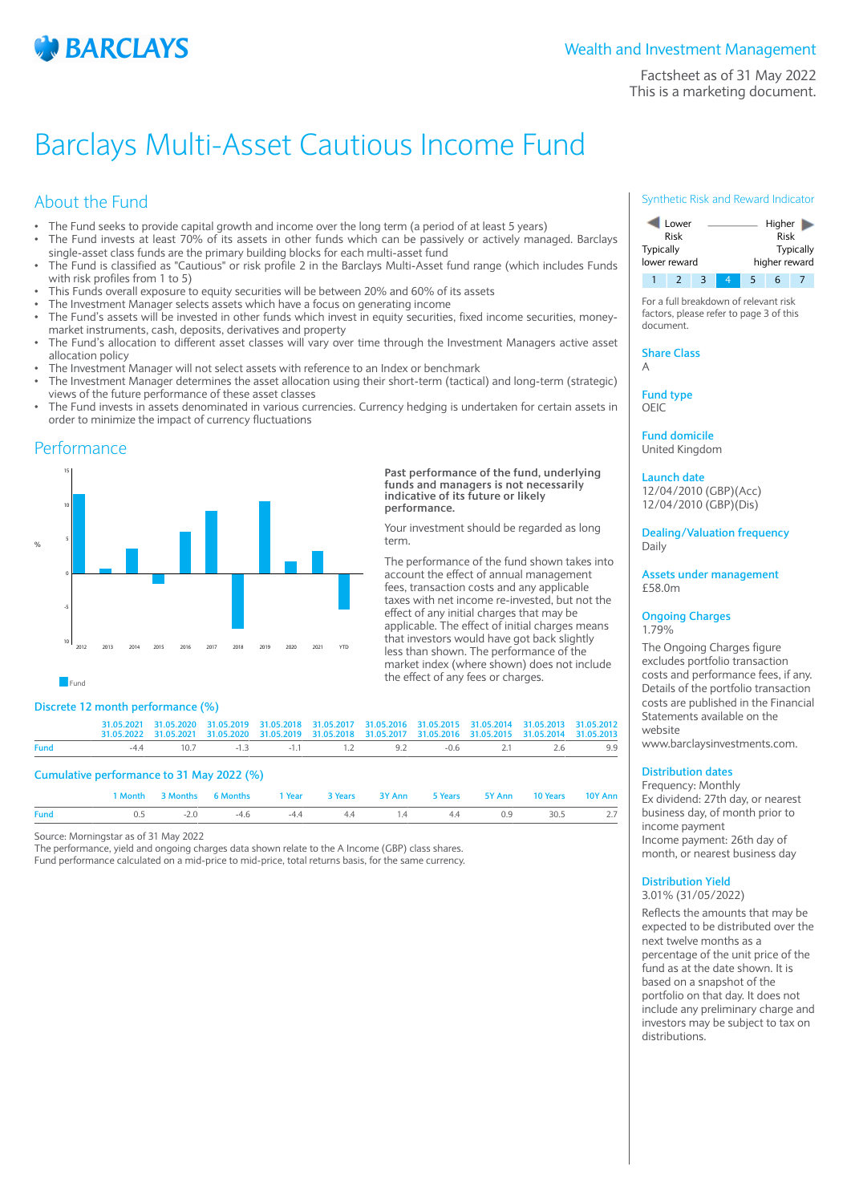

Factsheet as of 31 May 2022 This is a marketing document.

# Barclays Multi-Asset Cautious Income Fund

## About the Fund

- The Fund seeks to provide capital growth and income over the long term (a period of at least 5 years)
- The Fund invests at least 70% of its assets in other funds which can be passively or actively managed. Barclays single-asset class funds are the primary building blocks for each multi-asset fund
- The Fund is classified as "Cautious" or risk profile 2 in the Barclays Multi-Asset fund range (which includes Funds with risk profiles from 1 to 5)
- This Funds overall exposure to equity securities will be between 20% and 60% of its assets
- The Investment Manager selects assets which have a focus on generating income
- The Fund's assets will be invested in other funds which invest in equity securities, fixed income securities, moneymarket instruments, cash, deposits, derivatives and property
- The Fund's allocation to different asset classes will vary over time through the Investment Managers active asset allocation policy
- The Investment Manager will not select assets with reference to an Index or benchmark
- The Investment Manager determines the asset allocation using their short-term (tactical) and long-term (strategic) views of the future performance of these asset classes
- The Fund invests in assets denominated in various currencies. Currency hedging is undertaken for certain assets in order to minimize the impact of currency fluctuations

## Performance



#### **Past performance of the fund, underlying funds and managers is not necessarily indicative of its future or likely performance.**

Your investment should be regarded as long term.

The performance of the fund shown takes into account the effect of annual management fees, transaction costs and any applicable taxes with net income re-invested, but not the effect of any initial charges that may be applicable. The effect of initial charges means that investors would have got back slightly less than shown. The performance of the market index (where shown) does not include the effect of any fees or charges.

**Fund** 

## **Discrete 12 month performance (%)**

|             |                                           |                           |        |                |        |         | 31.05.2021 31.05.2020 31.05.2019 31.05.2018 31.05.2017 31.05.2016 31.05.2015 31.05.2014 31.05.2013 31.05.2012<br>31.05.2022 31.05.2021 31.05.2020 31.05.2019 31.05.2018 31.05.2017 31.05.2016 31.05.2015 31.05.2014 31.05.2013 |          |         |
|-------------|-------------------------------------------|---------------------------|--------|----------------|--------|---------|--------------------------------------------------------------------------------------------------------------------------------------------------------------------------------------------------------------------------------|----------|---------|
| <b>Fund</b> |                                           | $-44$                     |        |                |        |         | $10.7$ $-1.3$ $-1.1$ $1.2$ $9.2$ $-0.6$ $2.1$ $2.6$                                                                                                                                                                            |          | 9.9     |
|             | Cumulative performance to 31 May 2022 (%) | 1 Month 3 Months 6 Months | 1 Year | <b>3 Years</b> | 3Y Ann | 5 Years | 5Y Ann                                                                                                                                                                                                                         | 10 Years | 10Y Ann |

**Fund** 0.5 -2.0 -4.6 -4.4 4.4 1.4 4.4 0.9 30.5 2.7

Source: Morningstar as of 31 May 2022

The performance, yield and ongoing charges data shown relate to the A Income (GBP) class shares. Fund performance calculated on a mid-price to mid-price, total returns basis, for the same currency.

### Synthetic Risk and Reward Indicator



For a full breakdown of relevant risk factors, please refer to page 3 of this document.

**Share Class** A

**Fund type**

OEIC

**Fund domicile** United Kingdom

**Launch date**

12/04/2010 (GBP)(Acc) 12/04/2010 (GBP)(Dis)

**Dealing/Valuation frequency** Daily

**Assets under management** £58.0m

#### **Ongoing Charges** 1.79%

The Ongoing Charges figure excludes portfolio transaction costs and performance fees, if any. Details of the portfolio transaction costs are published in the Financial Statements available on the website

www.barclaysinvestments.com.

## **Distribution dates**

Frequency: Monthly Ex dividend: 27th day, or nearest business day, of month prior to income payment Income payment: 26th day of month, or nearest business day

## **Distribution Yield**

3.01% (31/05/2022) Reflects the amounts that may be expected to be distributed over the next twelve months as a percentage of the unit price of the fund as at the date shown. It is based on a snapshot of the portfolio on that day. It does not include any preliminary charge and investors may be subject to tax on distributions.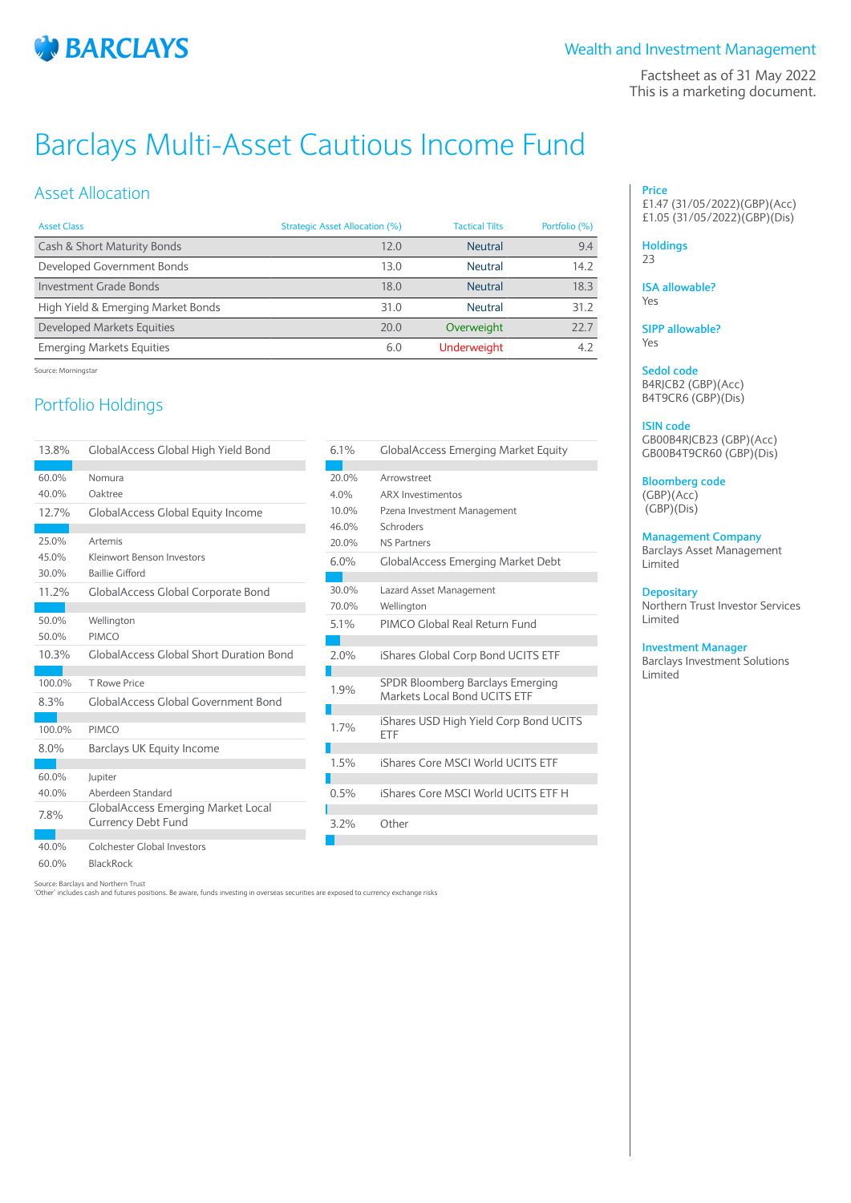

Factsheet as of 31 May 2022 This is a marketing document.

# Barclays Multi-Asset Cautious Income Fund

## Asset Allocation

| <b>Asset Class</b>                 | Strategic Asset Allocation (%) | <b>Tactical Tilts</b> | Portfolio (%) |
|------------------------------------|--------------------------------|-----------------------|---------------|
| Cash & Short Maturity Bonds        | 12.0                           | <b>Neutral</b>        | 9.4           |
| Developed Government Bonds         | 13.0                           | Neutral               | 14.2          |
| Investment Grade Bonds             | 18.0                           | <b>Neutral</b>        | 18.3          |
| High Yield & Emerging Market Bonds | 31.0                           | Neutral               | 31.2          |
| Developed Markets Equities         | 70.0                           | Overweight            | 22.7          |
| <b>Emerging Markets Equities</b>   | 6.0                            | <b>Underweight</b>    | 4.2           |

6.1% GlobalAccess Emerging Market Equity

6.0% GlobalAccess Emerging Market Debt

5.1% PIMCO Global Real Return Fund

2.0% iShares Global Corp Bond UCITS ETF

**SPDR Bloomberg Barclays Emerging**<br>1.9% Markista Lacel Band USITS FTF Markets Local Bond UCITS ETF 1.7% iShares USD High Yield Corp Bond UCITS

1.5% iShares Core MSCI World UCITS ETF

0.5% iShares Core MSCI World UCITS ETF H

10.0% Pzena Investment Management

30.0% Lazard Asset Management

20.0% Arrowstreet 4.0% ARX Investimentos

a sa Ba

٠

П

П

H.

a a s

г

46.0% Schroders 20.0% NS Partners

70.0% Wellington

ETF

3.2% Other

Source: Morningstar

# Portfolio Holdings

| 13.8%   | GlobalAccess Global High Yield Bond            |
|---------|------------------------------------------------|
|         |                                                |
| 60.0%   | Nomura                                         |
| 40.0%   | Oaktree                                        |
| 12.7%   | <b>GlobalAccess Global Equity Income</b>       |
|         |                                                |
| 25.0%   | Artemis                                        |
| 45.0%   | Kleinwort Benson Investors                     |
| 30.0%   | <b>Baillie Gifford</b>                         |
| 11.2%   | <b>GlobalAccess Global Corporate Bond</b>      |
|         |                                                |
| 50.0%   | Wellington                                     |
| 50.0%   | <b>PIMCO</b>                                   |
| 10.3%   | <b>GlobalAccess Global Short Duration Bond</b> |
|         |                                                |
| 100.0%  | T Rowe Price                                   |
| $8.3\%$ | GlobalAccess Global Government Bond            |
|         |                                                |
| 100.0%  | PIMCO                                          |
| 8.0%    | Barclays UK Equity Income                      |
|         |                                                |
| 60.0%   | Jupiter                                        |
| 40.0%   | Aberdeen Standard                              |
| 7.8%    | <b>GlobalAccess Emerging Market Local</b>      |
|         | <b>Currency Debt Fund</b>                      |
| 40.0%   | Colchester Global Investors                    |
| 60.0%   | <b>BlackRock</b>                               |

|  | Source: Barclays and Northern Trust |  |
|--|-------------------------------------|--|

'Other' includes cash and futures positions. Be aware, funds investing in overseas securities are exposed to currency exchange risks

#### **Price** £1.47 (31/05/2022)(GBP)(Acc) £1.05 (31/05/2022)(GBP)(Dis)

## **Holdings**

23

**ISA allowable?** Yes

**SIPP allowable?** Yes

**Sedol code** B4RJCB2 (GBP)(Acc) B4T9CR6 (GBP)(Dis)

### **ISIN code**

GB00B4RJCB23 (GBP)(Acc) GB00B4T9CR60 (GBP)(Dis)

**Bloomberg code** (GBP)(Acc) (GBP)(Dis)

**Management Company** Barclays Asset Management

Limited

**Depositary**

Northern Trust Investor Services Limited

**Investment Manager**

Barclays Investment Solutions Limited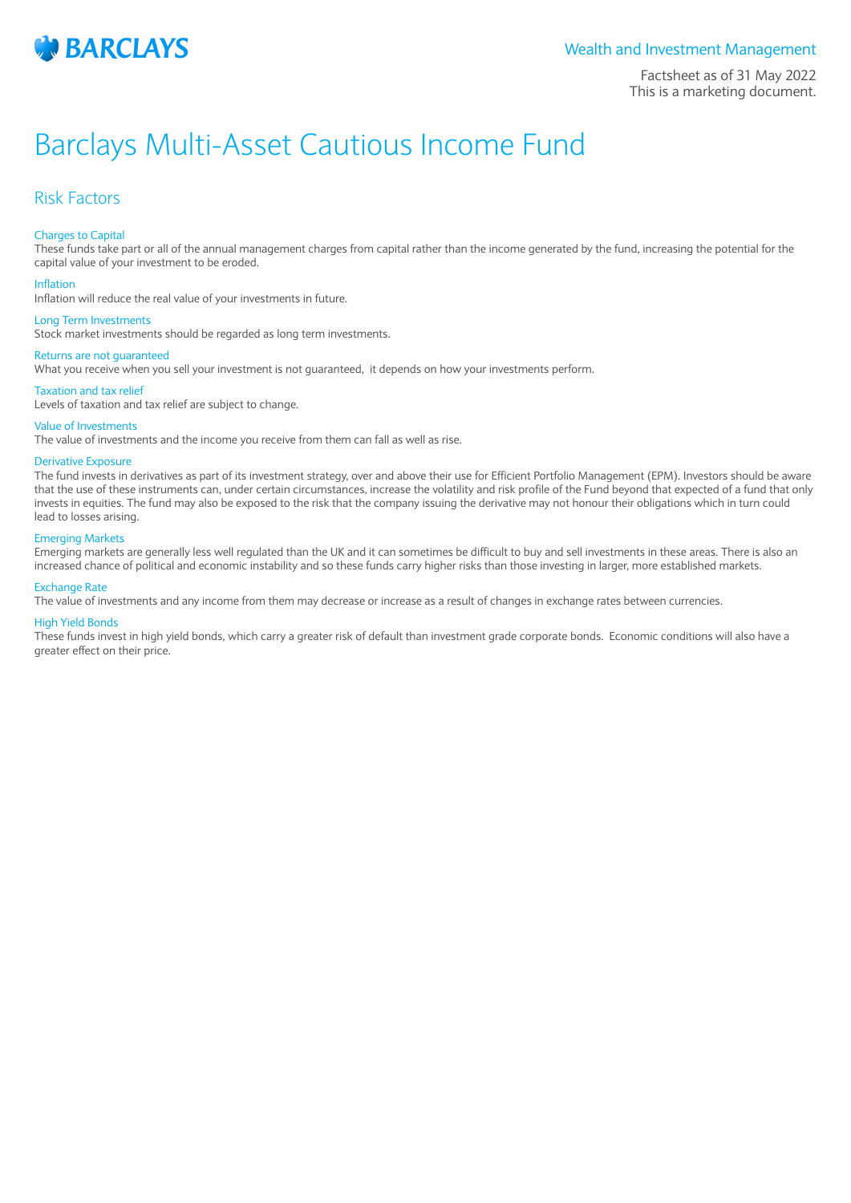

Factsheet as of 31 May 2022 This is a marketing document.

# Barclays Multi-Asset Cautious Income Fund

## Risk Factors

#### Charges to Capital

These funds take part or all of the annual management charges from capital rather than the income generated by the fund, increasing the potential for the capital value of your investment to be eroded.

#### Inflation

Inflation will reduce the real value of your investments in future.

#### Long Term Investments

Stock market investments should be regarded as long term investments.

### Returns are not guaranteed

What you receive when you sell your investment is not guaranteed, it depends on how your investments perform.

#### Taxation and tax relief

Levels of taxation and tax relief are subject to change.

#### Value of Investments

The value of investments and the income you receive from them can fall as well as rise.

### Derivative Exposure

The fund invests in derivatives as part of its investment strategy, over and above their use for Efficient Portfolio Management (EPM). Investors should be aware that the use of these instruments can, under certain circumstances, increase the volatility and risk profile of the Fund beyond that expected of a fund that only invests in equities. The fund may also be exposed to the risk that the company issuing the derivative may not honour their obligations which in turn could lead to losses arising.

#### Emerging Markets

Emerging markets are generally less well regulated than the UK and it can sometimes be difficult to buy and sell investments in these areas. There is also an increased chance of political and economic instability and so these funds carry higher risks than those investing in larger, more established markets.

#### Exchange Rate

The value of investments and any income from them may decrease or increase as a result of changes in exchange rates between currencies.

#### High Yield Bonds

These funds invest in high yield bonds, which carry a greater risk of default than investment grade corporate bonds. Economic conditions will also have a greater effect on their price.